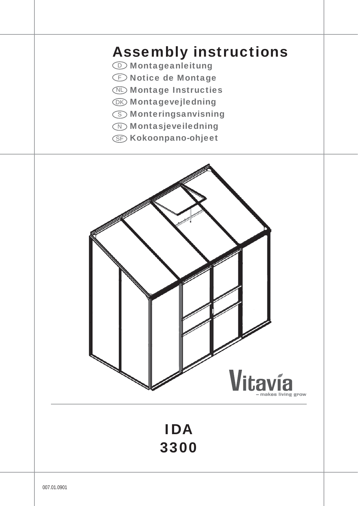# Assembly instructions

- **<sup>1</sup>** Montageanleitung
- **E** Notice de Montage
- **Montage Instructies**
- **OK Montagevejledning**
- **S** Monteringsanvisning
- **Montasjeveiledning**
- **SF Kokoonpano-ohjeet**

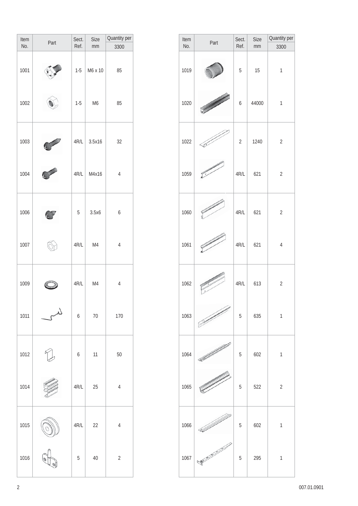| Item<br>No. | Part | Sect.<br>Ref.    | Size<br>mm | Quantity per<br>3300 |
|-------------|------|------------------|------------|----------------------|
| 1001        |      | $1-5$            | M6 x 10    | 85                   |
| 1002        |      | $1 - 5$          | M6         | 85                   |
| 1003        |      | 4R/L             | 3.5x16     | 32                   |
| 1004        |      | 4R/L             | M4x16      | $\overline{4}$       |
| 1006        |      | 5                | 3.5x6      | 6                    |
| 1007        |      | 4R/L             | M4         | $\overline{4}$       |
| 1009        |      | 4R/L             | M4         | $\overline{4}$       |
| 1011        |      | $\boldsymbol{6}$ | 70         | 170                  |
| 1012        |      | $\boldsymbol{6}$ | 11         | 50                   |
| 1014        |      | $4R/L$           | 25         | $\overline{4}$       |
| 1015        |      | 4R/L             | 22         | $\overline{4}$       |
| 1016        |      | 5                | 40         | $\overline{2}$       |

| Item | Part | Sect.          | <b>Size</b> | Quantity per   |
|------|------|----------------|-------------|----------------|
| No.  |      | Ref.           | mm          | 3300           |
| 1019 |      | 5              | 15          | 1              |
| 1020 |      | 6              | 44000       | $\mathbf{1}$   |
| 1022 | وس   | $\overline{2}$ | 1240        | $\overline{2}$ |
| 1059 |      | 4R/L           | 621         | $\overline{2}$ |
| 1060 |      | 4R/L           | 621         | $\overline{2}$ |
| 1061 |      | 4R/L           | 621         | $\overline{4}$ |
| 1062 |      | 4R/L           | 613         | $\overline{2}$ |
| 1063 |      | 5              | 635         | $\mathbf{1}$   |
| 1064 | K    | 5              | 602         | $\mathbf{1}$   |
| 1065 |      | 5              | 522         | $\overline{2}$ |
| 1066 |      | 5              | 602         | $\mathbf{1}$   |
| 1067 |      | 5              | 295         | $\mathbf{1}$   |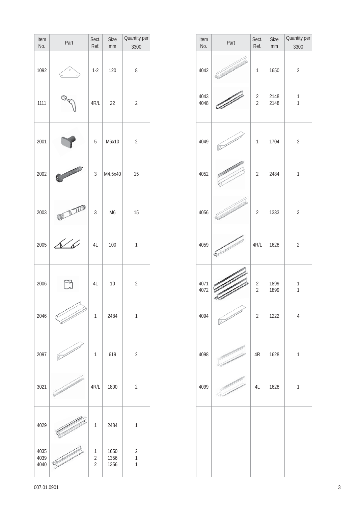| Item<br>No.          | Part                     | Sect.<br>Ref.                         | <b>Size</b><br>mm    | Quantity per<br>3300                           |
|----------------------|--------------------------|---------------------------------------|----------------------|------------------------------------------------|
| 1092                 | $\circ$<br>$\circ$<br>o, | $1-2$                                 | 120                  | 8                                              |
| 1111                 | O <sub>q</sub>           | 4R/L                                  | 22                   | $\overline{2}$                                 |
| 2001                 |                          | 5                                     | M6x10                | $\overline{2}$                                 |
| 2002                 | 3                        | $\mathfrak{Z}$                        | M4.5x40              | 15                                             |
| 2003                 | ON ARAB                  | $\sqrt{3}$                            | M <sub>6</sub>       | 15                                             |
| 2005                 | ↑∕<br>ิธ                 | 4L                                    | 100                  | $\mathbf{1}$                                   |
| 2006                 |                          | 4L                                    | 10                   | $\overline{2}$                                 |
| 2046                 |                          | 1                                     | 2484                 | $\mathbf{1}$                                   |
| 2097                 | $\overline{\mathbb{R}}$  | $\mathbf{1}$                          | 619                  | $\overline{2}$                                 |
| 3021                 |                          | 4R/L                                  | 1800                 | $\sqrt{2}$                                     |
| 4029                 |                          | 1                                     | 2484                 | $\mathbf{1}$                                   |
| 4035<br>4039<br>4040 |                          | 1<br>$\overline{2}$<br>$\overline{2}$ | 1650<br>1356<br>1356 | $\sqrt{2}$<br>$\overline{1}$<br>$\overline{1}$ |

| Item<br>No.  | Part                  | Sect.<br>Ref.                    | Size<br>mm   | Quantity per<br>3300         |
|--------------|-----------------------|----------------------------------|--------------|------------------------------|
| 4042         |                       | $\mathbf{1}$                     | 1650         | $\sqrt{2}$                   |
| 4043<br>4048 |                       | $\sqrt{2}$<br>$\overline{2}$     | 2148<br>2148 | $\mathbf{1}$<br>$\mathbf{1}$ |
| 4049         | $\boxed{\mathcal{D}}$ | $\mathbf{1}$                     | 1704         | $\overline{2}$               |
| 4052         |                       | $\overline{2}$                   | 2484         | $\mathbf{1}$                 |
| 4056         |                       | $\overline{2}$                   | 1333         | $\sqrt{3}$                   |
| 4059         |                       | 4R/L                             | 1628         | $\overline{2}$               |
| 4071<br>4072 |                       | $\overline{2}$<br>$\overline{2}$ | 1899<br>1899 | 1<br>$\mathbf{1}$            |
| 4094         | <b>Comment</b>        | $\overline{2}$                   | 1222         | $\overline{4}$               |
| 4098         |                       | $4\mathsf{R}$                    | 1628         | $\mathbf{1}$                 |
| 4099         |                       | 4L                               | 1628         | $\mathbf{1}$                 |
|              |                       |                                  |              |                              |
|              |                       |                                  |              |                              |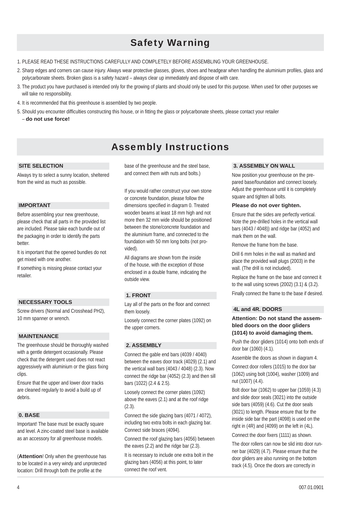## **Safety Warning Safety** Warning

- 1. PLEASE READ THESE INSTRUCTIONS CAREFULLY AND COMPLETELY BEFORE ASSEMBLING YOUR GREENHOUSE.
- 2. Sharp edges and corners can cause injury. Always wear protective glasses, gloves, shoes and headgear when handling the aluminium profiles, glass and polycarbonate sheets. Broken glass is a safety hazard – always clear up immediately and dispose of with care.
- 3. The product you have purchased is intended only for the growing of plants and should only be used for this purpose. When used for other purposes we will take no responsibility.
- 4. It is recommended that this greenhouse is assembled by two people.
- 5. Should you encounter difficulties constructing this house, or in fitting the glass or polycarbonate sheets, please contact your retailer – **do not use force!**

## Assembly Instructions

#### **SITE SELECTION**

Always try to select a sunny location, sheltered from the wind as much as possible.

#### **IMPORTANT**

Before assembling your new greenhouse, please check that all parts in the provided list are included. Please take each bundle out of the packaging in order to identify the parts better.

It is important that the opened bundles do not get mixed with one another.

If something is missing please contact your retailer.

## **NECESSARY TOOLS**

Screw drivers (Normal and Crosshead PH2), 10 mm spanner or wrench.

## **MAINTENANCE**

The greenhouse should be thoroughly washed with a gentle detergent occasionally. Please check that the detergent used does not react aggressively with aluminium or the glass fixing clips.

Ensure that the upper and lower door tracks are cleaned regularly to avoid a build up of debris.

## **0. BASE**

Important! The base must be exactly square and level. A zinc-coated steel base is available as an accessory for all greenhouse models.

(**Attention**! Only when the greenhouse has to be located in a very windy and unprotected location: Drill through both the profile at the

base of the greenhouse and the steel base, and connect them with nuts and bolts.)

If you would rather construct your own stone or concrete foundation, please follow the dimensions specified in diagram 0. Treated wooden beams at least 18 mm high and not more then 32 mm wide should be positioned between the stone/concrete foundation and the aluminium frame, and connected to the foundation with 50 mm long bolts (not provided).

All diagrams are shown from the inside of the house, with the exception of those enclosed in a double frame, indicating the outside view.

## **1. FRONT**

Lay all of the parts on the floor and connect them loosely.

Loosely connect the corner plates (1092) on the upper corners.

## **2. ASSEMBLY**

Connect the gable end bars (4039 / 4040) between the eaves door track (4029) (2.1) and the vertical wall bars (4043 / 4048) (2.3). Now connect the ridge bar (4052) (2.3) and then sill bars (1022) (2.4 & 2.5).

Loosely connect the corner plates (1092) above the eaves (2.1) and at the roof ridge (2.3).

Connect the side glazing bars (4071 / 4072), including two extra bolts in each glazing bar. Connect side braces (4094).

Connect the roof glazing bars (4056) between the eaves (2.2) and the ridge bar (2.3).

It is necessary to include one extra bolt in the glazing bars (4056) at this point, to later connect the roof vent.

#### **3. ASSEMBLY ON WALL**

Now position your greenhouse on the prepared base/foundation and connect loosely. Adjust the greenhouse until it is completely square and tighten all bolts.

#### **Please do not over tighten.**

Ensure that the sides are perfectly vertical. Note the pre-drilled holes in the vertical wall bars (4043 / 4048)) and ridge bar (4052) and mark them on the wall.

Remove the frame from the base.

Drill 6 mm holes in the wall as marked and place the provided wall plugs (2003) in the wall. (The drill is not included).

Replace the frame on the base and connect it to the wall using screws (2002) (3.1) & (3.2).

Finally connect the frame to the base if desired.

#### **4L and 4R. DOORS**

## **Attention: Do not stand the assembled doors on the door gliders (1014) to avoid damaging them.**

Push the door gliders (1014) onto both ends of door bar (1060) (4.1).

Assemble the doors as shown in diagram 4.

Connect door rollers (1015) to the door bar (1062) using bolt (1004), washer (1009) and nut (1007) (4.4).

Bolt door bar (1062) to upper bar (1059) (4.3) and slide door seals (3021) into the outside side bars (4059) (4.6). Cut the door seals (3021) to length. Please ensure that for the inside side bar the part (4098) is used on the right in (4R) and (4099) on the left in (4L).

Connect the door fixers (1111) as shown.

The door rollers can now be slid into door runner bar (4029) (4.7). Please ensure that the door gliders are also running on the bottom track (4.5). Once the doors are correctly in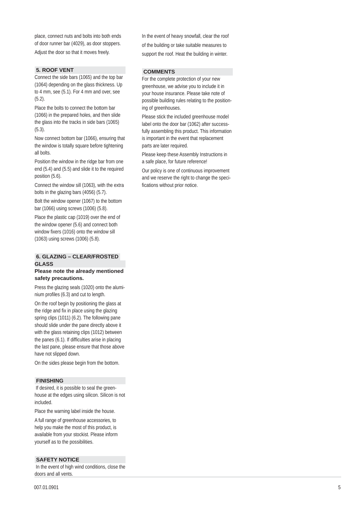place, connect nuts and bolts into both ends of door runner bar (4029), as door stoppers. Adjust the door so that it moves freely.

### **5. ROOF VENT**

Connect the side bars (1065) and the top bar (1064) depending on the glass thickness. Up to 4 mm, see (5.1). For 4 mm and over, see (5.2).

Place the bolts to connect the bottom bar (1066) in the prepared holes, and then slide the glass into the tracks in side bars (1065) (5.3).

Now connect bottom bar (1066), ensuring that the window is totally square before tightening all bolts.

Position the window in the ridge bar from one end (5.4) and (5.5) and slide it to the required position (5.6).

Connect the window sill (1063), with the extra bolts in the glazing bars (4056) (5.7).

Bolt the window opener (1067) to the bottom bar (1066) using screws (1006) (5.8).

Place the plastic cap (1019) over the end of the window opener (5.6) and connect both window fixers (1016) onto the window sill (1063) using screws (1006) (5.8).

## **6. GLAZING – CLEAR/FROSTED GLASS**

#### **Please note the already mentioned safety precautions.**

Press the glazing seals (1020) onto the aluminium profiles (6.3) and cut to length.

On the roof begin by positioning the glass at the ridge and fix in place using the glazing spring clips (1011) (6.2). The following pane should slide under the pane directly above it with the glass retaining clips (1012) between the panes  $(6.1)$ . If difficulties arise in placing the last pane, please ensure that those above have not slipped down.

On the sides please begin from the bottom.

## **FINISHING**

 If desired, it is possible to seal the greenhouse at the edges using silicon. Silicon is not included.

Place the warning label inside the house.

A full range of greenhouse accessories, to help you make the most of this product, is available from your stockist. Please inform yourself as to the possibilities.

#### **SAFETY NOTICE**

 In the event of high wind conditions, close the doors and all vents.

In the event of heavy snowfall, clear the roof of the building or take suitable measures to support the roof. Heat the building in winter.

#### **COMMENTS**

For the complete protection of your new greenhouse, we advise you to include it in your house insurance. Please take note of possible building rules relating to the positioning of greenhouses.

Please stick the included greenhouse model label onto the door bar (1062) after successfully assembling this product. This information is important in the event that replacement parts are later required.

Please keep these Assembly Instructions in a safe place, for future reference!

Our policy is one of continuous improvement and we reserve the right to change the speci fications without prior notice.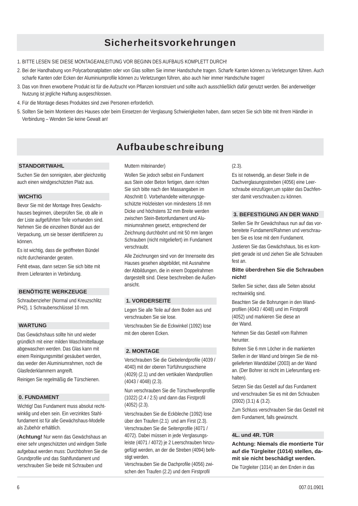## Sicherheitsvorkehrungen

- 1. BITTE LESEN SIE DIESE MONTAGEANLEITUNG VOR BEGINN DES AUFBAUS KOMPLETT DURCH!
- 2. Bei der Handhabung von Polycarbonatplatten oder von Glas sollten Sie immer Handschuhe tragen. Scharfe Kanten können zu Verletzungen führen. Auch scharfe Kanten oder Ecken der Aluminiumprofile können zu Verletzungen führen, also auch hier immer Handschuhe tragen!
- 3. Das von Ihnen erworbene Produkt ist für die Aufzucht von Pflanzen konstruiert und sollte auch ausschließlich dafür genutzt werden. Bei anderweitiger Nutzung ist jegliche Haftung ausgeschlossen.
- 4. Für die Montage dieses Produktes sind zwei Personen erforderlich.
- 5. Sollten Sie beim Montieren des Hauses oder beim Einsetzen der Verglasung Schwierigkeiten haben, dann setzen Sie sich bitte mit Ihrem Händler in Verbindung – Wenden Sie keine Gewalt an!

## Aufbaubeschreibung

#### **STANDORTWAHL**

Suchen Sie den sonnigsten, aber gleichzeitig auch einen windgeschützten Platz aus.

## **WICHTIG**

Bevor Sie mit der Montage Ihres Gewächshauses beginnen, überprüfen Sie, ob alle in der Liste aufgeführten Teile vorhanden sind. Nehmen Sie die einzelnen Bündel aus der Verpackung, um sie besser identifizieren zu können.

Es ist wichtig, dass die geöffneten Bündel nicht durcheinander geraten.

Fehlt etwas, dann setzen Sie sich bitte mit Ihrem Lieferanten in Verbindung.

## **BENÖTIGTE WERKZEUGE**

Schraubenzieher (Normal und Kreuzschlitz PH2), 1 Schraubenschlüssel 10 mm.

#### **WARTUNG**

Das Gewächshaus sollte hin und wieder gründlich mit einer milden Waschmittellauge abgewaschen werden. Das Glas kann mit einem Reinigungsmittel gesäubert werden, das weder den Aluminiumrahmen, noch die Glasfederklammern angreift.

Reinigen Sie regelmäßig die Türschienen.

#### **0. FUNDAMENT**

Wichtig! Das Fundament muss absolut rechtwinklig und eben sein. Ein verzinktes Stahlfundament ist für alle Gewächshaus-Modelle als Zubehör erhältlich.

(**Achtung!** Nur wenn das Gewächshaus an einer sehr ungeschützten und windigen Stelle aufgebaut werden muss: Durchbohren Sie die Grundprofile und das Stahlfundament und verschrauben Sie beide mit Schrauben und

#### Muttern miteinander)

Wollen Sie jedoch selbst ein Fundament aus Stein oder Beton fertigen, dann richten Sie sich bitte nach den Massangaben im Abschnitt 0. Vorbehandelte witterungsgeschützte Holzleisten von mindestens 18 mm Dicke und höchstens 32 mm Breite werden zwischen Stein-Betonfundament und Aluminiumrahmen gesetzt, entsprechend der Zeichnung durchbohrt und mit 50 mm langen Schrauben (nicht mitgeliefert) im Fundament verschraubt.

Alle Zeichnungen sind von der Innenseite des Hauses gesehen abgebildet, mit Ausnahme der Abbildungen, die in einem Doppelrahmen dargestellt sind. Diese beschreiben die Außenansicht.

#### **1. VORDERSEITE**

Legen Sie alle Teile auf dem Boden aus und verschrauben Sie sie lose.

Verschrauben Sie die Eckwinkel (1092) lose mit den oberen Ecken.

#### **2. MONTAGE**

Verschrauben Sie die Giebelendprofile (4039 / 4040) mit der oberen Türführungsschiene (4029) (2.1) und den vertikalen Wandprofilen (4043 / 4048) (2.3).

Nun verschrauben Sie die Türschwellenprofile (1022) (2.4 / 2.5) und dann das Firstprofil (4052) (2.3).

Verschrauben Sie die Eckbleche (1092) lose über den Traufen (2.1) und am First (2.3). Verschrauben Sie die Seitenprofile (4071 / 4072). Dabei müssen in jede Verglasungsleiste (4071 / 4072) je 2 Leerschrauben hinzugefügt werden, an der die Streben (4094) befestigt werden.

Verschrauben Sie die Dachprofile (4056) zwischen den Traufen (2.2) und dem Firstprofil

(2.3).

Es ist notwendig, an dieser Stelle in die Dachverglasungsstreben (4056) eine Leerschraube einzufügen,um später das Dachfenster damit verschrauben zu können.

#### **3. BEFESTIGUNG AN DER WAND**

Stellen Sie Ihr Gewächshaus nun auf das vorbereitete Fundament/Rahmen und verschrauben Sie es lose mit dem Fundament.

Justieren Sie das Gewächshaus, bis es komplett gerade ist und ziehen Sie alle Schrauben fest an.

#### **Bitte überdrehen Sie die Schrauben nicht!**

Stellen Sie sicher, dass alle Seiten absolut rechtwinklig sind.

Beachten Sie die Bohrungen in den Wandprofilen (4043 / 4048) und im Firstprofil (4052) und markieren Sie diese an der Wand.

Nehmen Sie das Gestell vom Rahmen herunter.

Bohren Sie 6 mm Löcher in die markierten Stellen in der Wand und bringen Sie die mitgelieferten Wanddübel (2003) an der Wand an. (Der Bohrer ist nicht im Lieferumfang enthalten).

Setzen Sie das Gestell auf das Fundament und verschrauben Sie es mit den Schrauben (2002) (3.1) & (3.2).

Zum Schluss verschrauben Sie das Gestell mit dem Fundament, falls gewünscht.

#### **4L. und 4R. TÜR**

## **Achtung: Niemals die montierte Tür auf die Türgleiter (1014) stellen, damit sie nicht beschädigt werden.**

Die Türgleiter (1014) an den Enden in das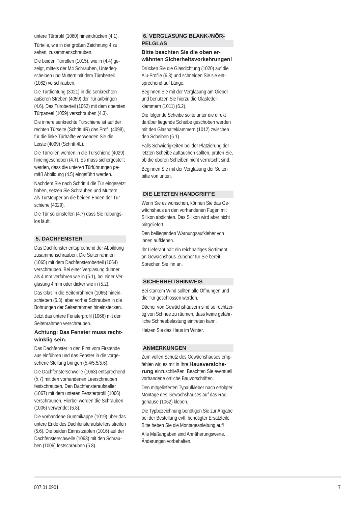untere Türpro fi l (1060) hineindrücken (4.1).

Türteile, wie in der großen Zeichnung 4 zu sehen, zusammenschrauben.

Die beiden Türrollen (1015), wie in (4.4) gezeigt, mittels der M4 Schrauben, Unterlegscheiben und Muttern mit dem Türoberteil (1062) verschrauben.

Die Türdichtung (3021) in die senkrechten äußeren Streben (4059) der Tür anbringen (4.6). Das Türoberteil (1062) mit dem obersten Türpaneel (1059) verschrauben (4.3).

Die innere senkrechte Türschiene ist auf der rechten Türseite (Schritt 4R) das Profil (4098), für die linke Türhälfte verwenden Sie die Leiste (4099) (Schritt 4L).

Die Türrollen werden in die Türschiene (4029) hineingeschoben (4.7). Es muss sichergestellt werden, dass die unteren Türführungen gemäß Abbildung (4.5) eingeführt werden.

Nachdem Sie nach Schritt 4 die Tür eingesetzt haben, setzen Sie Schrauben und Muttern als Türstopper an die beiden Enden der Türschiene (4029).

Die Tür so einstellen (4.7) dass Sie reibungslos läuft.

### **5. DACHFENSTER**

Das Dachfenster entsprechend der Abbildung zusammenschrauben. Die Seitenrahmen (1065) mit dem Dachfensteroberteil (1064) verschrauben. Bei einer Verglasung dünner als 4 mm verfahren wie in (5.1), bei einer Verglasung 4 mm oder dicker wie in (5.2).

Das Glas in die Seitenrahmen (1065) hineinschieben (5.3), aber vorher Schrauben in die Bohrungen der Seitenrahmen hineinstecken.

Jetzt das untere Fensterpro fi l (1066) mit den Seitenrahmen verschrauben.

### **Achtung: Das Fenster muss rechtwinklig sein.**

Das Dachfenster in den First vom Firstende aus einführen und das Fenster in die vorgesehene Stellung bringen (5.4/5.5/5.6).

Die Dachfensterschwelle (1063) entsprechend (5.7) mit den vorhandenen Leerschrauben festschrauben. Den Dachfensteraufsteller (1067) mit dem unteren Fensterprofil (1066) verschrauben. Hierbei werden die Schrauben (1006) verwendet (5.8).

Die vorhandene Gummikappe (1019) über das untere Ende des Dachfensteraufstellers streifen (5.6). Die beiden Einrastzapfen (1016) auf der Dachfensterschwelle (1063) mit den Schrauben (1006) festschrauben (5.8).

## **6. VERGLASUNG BLANK-/NÖR-PELGLAS**

#### **Bitte beachten Sie die oben erwähnten Sicherheitsvorkehrungen!**

Drücken Sie die Glasdichtung (1020) auf die Alu-Profile (6.3) und schneiden Sie sie entsprechend auf Länge.

Beginnen Sie mit der Verglasung am Giebel und benutzen Sie hierzu die Glasfederklammern (1011) (6.2).

Die folgende Scheibe sollte unter die direkt darüber liegende Scheibe geschoben werden mit den Glashalteklammern (1012) zwischen den Scheiben (6.1).

Falls Schwierigkeiten bei der Platzierung der letzten Scheibe auftauchen sollten, prüfen Sie, ob die oberen Scheiben nicht verrutscht sind.

Beginnen Sie mit der Verglasung der Seiten bitte von unten.

#### **DIE LETZTEN HANDGRIFFE**

Wenn Sie es wünschen, können Sie das Gewächshaus an den vorhandenen Fugen mit Silikon abdichten. Das Silikon wird aber nicht mitgeliefert.

Den beiliegenden Warnungsaufkleber von innen aufkleben.

Ihr Lieferant hält ein reichhaltiges Sortiment an Gewächshaus-Zubehör für Sie bereit. Sprechen Sie ihn an.

#### **SICHERHEITSHINWEIS**

Bei starkem Wind sollten alle Öffnungen und die Tür geschlossen werden.

Dächer von Gewächshäusern sind so rechtzeitig von Schnee zu räumen, dass keine gefährliche Schneebelastung eintreten kann.

Heizen Sie das Haus im Winter.

## **ANMERKUNGEN**

Zum vollen Schutz des Gewächshauses empfehlen wir, es mit in Ihre **Hausversicherung** einzuschließen. Beachten Sie eventuell vorhandene örtliche Bauvorschriften.

Den mitgelieferten Typaufkleber nach erfolgter Montage des Gewächshauses auf das Radgehäuse (1062) kleben.

Die Typbezeichnung benötigen Sie zur Angabe bei der Bestellung evtl. benötigter Ersatzteile. Bitte heben Sie die Montageanleitung auf!

Alle Maßangaben sind Annäherungswerte. Änderungen vorbehalten.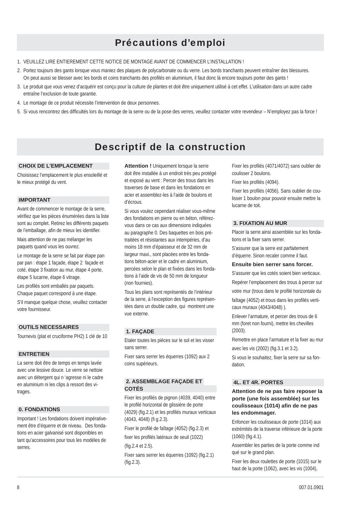## **SICHERHEITS Précautions d'emploi**

- 1. VEUILLEZ LIRE ENTIEREMENT CETTE NOTICE DE MONTAGE AVANT DE COMMENCER L'INSTALLATION !
- 2. Portez toujours des gants lorsque vous maniez des plaques de polycarbonate ou du verre. Les bords tranchants peuvent entraîner des blessures. On peut aussi se blesser avec les bords et coins tranchants des profilés en aluminium, il faut donc là encore toujours porter des gants !
- 3. Le produit que vous venez d'acquérir est conçu pour la culture de plantes et doit être uniquement utilisé à cet effet. L'utilisation dans un autre cadre entraîne l'exclusion de toute garantie.
- 4. Le montage de ce produit nécessite l'intervention de deux personnes.
- 5. Si vous rencontrez des difficultés lors du montage de la serre ou de la pose des verres, veuillez contacter votre revendeur N'employez pas la force !

## Descriptif de la construction

#### **CHOIX DE L'EMPLACEMENT**

Choisissez l'emplacement le plus ensoleillé et le mieux protégé du vent.

#### **IMPORTANT**

Avant de commencer le montage de la serre, vérifiez que les pièces énumérées dans la liste sont au complet. Retirez les différents paquets de l'emballage, afin de mieux les identifier.

Mais attention de ne pas mélanger les paquets quand vous les ouvrez.

Le montage de la serre se fait par étape pan par pan : étape 1 façade, étape 2 façade et coté, étape 3 fixation au mur, étape 4 porte, étape 5 lucarne, étape 6 vitrage.

Les profilés sont emballés par paquets. Chaque paquet correspond à une étape.

S'il manque quelque chose, veuillez contacter votre fournisseur.

#### **OUTILS NECESSAIRES**

Tournevis (plat et cruciforme PH2) 1 clé de 10

#### **ENTRETIEN**

La serre doit être de temps en temps lavée avec une lessive douce. Le verre se nettoie avec un détergent qui n 'agresse ni le cadre en aluminium ni les clips à ressort des vitrages.

#### **0. FONDATIONS**

Important ! Les fondations doivent impérativement être d'équerre et de niveau. Des fondations en acier galvanisé sont disponibles en tant qu'accessoires pour tous les modèles de serres.

**Attention !** Uniquement lorsque la serre doit être installée à un endroit très peu protégé et exposé au vent : Percer des trous dans les traverses de base et dans les fondations en acier et assemblez-les à l'aide de boulons et d'écrous.

Si vous voulez cependant réaliser vous-même des fondations en pierre ou en béton, référezvous dans ce cas aux dimensions indiquées au paragraphe 0. Des baquettes en bois prétraitées et résistantes aux intempéries, d'au moins 18 mm d'épaisseur et de 32 mm de largeur maxi., sont placées entre les fondations béton-acier et le cadre en aluminium, percées selon le plan et fixées dans les fondations à l'aide de vis de 50 mm de longueur (non fournies).

Tous les plans sont représentés de l'intérieur de la serre, à l'exception des figures représentées dans un double cadre, qui montrent une vue externe.

#### **1. FAÇADE**

Etaler toutes les pièces sur le sol et les visser sans serrer.

Fixer sans serrer les équerres (1092) aux 2 coins supérieurs.

#### **2. ASSEMBLAGE FAÇADE ET COTÉS**

Fixer les profilés de pignon (4039, 4040) entre le profilé horizontal de glissière de porte (4029) (fig.2.1) et les profilés muraux verticaux (4043, 4048) (fi g.2.3).

Fixer le profilé de faîtage (4052) (fig.2.3) et fixer les profilés latéraux de seuil (1022)

#### (fig.2.4 et 2.5).

Fixer sans serrer les équerres (1092) (fig.2.1)  $(fiq.2.3)$ .

Fixer les profilés (4071/4072) sans oublier de coulisser 2 boulons.

Fixer les profilés (4094).

Fixer les profilés (4056). Sans oublier de coulisser 1 boulon pour pouvoir ensuite mettre la lucarne de toit.

### **3. FIXATION AU MUR**

Placer la serre ainsi assemblée sur les fondations et la fixer sans serrer.

S'assurer que la serre est parfaitement d'équerre. Sinon recaler comme il faut.

#### **Ensuite bien serrer sans forcer.**

S'assurer que les cotés soient bien verticaux. Repérer l'emplacement des trous à percer sur votre mur (trous dans le profilé horizontale du faîtage (4052) et trous dans les profilés verticaux muraux (4043/4048) ).

Enlever l'armature, et percer des trous de 6 mm (foret non fourni), mettre les chevilles (2003).

Remettre en place l'armature et la fixer au mur

avec les vis (2002) (fig. 3.1 et 3.2).

Si vous le souhaitez, fixer la serre sur sa fondation.

#### **4L. ET 4R. PORTES**

### **Attention de ne pas faire reposer la porte (une fois assemblée) sur les**  coulisseaux (1014) afin de ne pas **les endommager.**

Enfoncer les coulisseaux de porte (1014) aux extrémités de la traverse inférieure de la porte  $(1060)$  (fig.4.1).

Assembler les parties de la porte comme ind qué sur le grand plan.

Fixer les deux roulettes de porte (1015) sur le haut de la porte (1062), avec les vis (1004),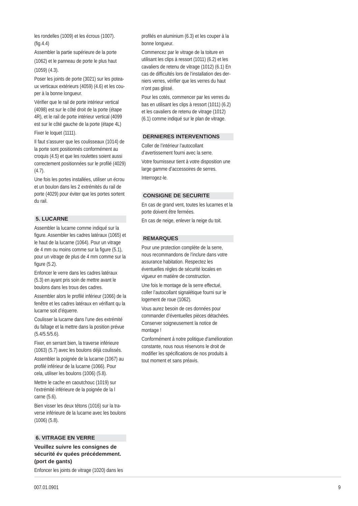les rondelles (1009) et les écrous (1007).<br>(fig.4.4)

Assembler la partie supérieure de la porte

(1062) et le panneau de porte le plus haut (1059) (4.3).

Poser les joints de porte (3021) sur les poteaux verticaux extérieurs (4059) (4.6) et les couper à la bonne longueur.

Vérifier que le rail de porte intérieur vertical (4098) est sur le côté droit de la porte (étape 4R), et le rail de porte intérieur vertical (4099 est sur le côté gauche de la porte (étape 4L)

Fixer le loquet (1111).

Il faut s'assurer que les coulisseaux (1014) de la porte sont positionnés conformément au croquis (4.5) et que les roulettes soient aussi correctement positionnées sur le profilé (4029)  $(4.7)$ .

Une fois les portes installées, utiliser un écrou et un boulon dans les 2 extrémités du rail de porte (4029) pour éviter que les portes sortent du rail.

### **5. LUCARNE**

Assembler la lucarne comme indiqué sur la figure. Assembler les cadres latéraux (1065) et le haut de la lucarne (1064). Pour un vitrage de 4 mm ou moins comme sur la figure (5.1), pour un vitrage de plus de 4 mm comme sur la figure  $(5.2)$ .

Enfoncer le verre dans les cadres latéraux (5.3) en ayant pris soin de mettre avant le boulons dans les trous des cadres.

Assembler alors le profilé inférieur (1066) de la fenêtre et les cadres latéraux en vérifiant qu la lucarne soit d'équerre.

Coulisser la lucarne dans l'une des extrémité du faîtage et la mettre dans la position prévue (5.4/5.5/5.6).

Fixer, en serrant bien, la traverse inférieure (1063) (5.7) avec les boulons déjà coulissés.

Assembler la poignée de la lucarne (1067) au profilé inférieur de la lucarne (1066). Pour cela, utiliser les boulons (1006) (5.8).

Mettre le cache en caoutchouc (1019) sur l'extrémité inférieure de la poignée de la l carne (5.6).

Bien visser les deux tétons (1016) sur la traverse inférieure de la lucarne avec les boulons (1006) (5.8).

### **6. VITRAGE EN VERRE**

**Veuillez suivre les consignes de sécurité év quées précédemment. (port de gants)** 

Enfoncer les joints de vitrage (1020) dans les

profilés en aluminium (6.3) et les couper à la bonne longueur.

Commencez par le vitrage de la toiture en utilisant les clips à ressort (1011) (6.2) et les cavaliers de retenu de vitrage (1012) (6.1) En cas de difficultés lors de l'installation des derniers verres, vérifier que les verres du haut n'ont pas glissé.

Pour les cotés, commencer par les verres du bas en utilisant les clips à ressort (1011) (6.2) et les cavaliers de retenu de vitrage (1012) (6.1) comme indiqué sur le plan de vitrage.

#### **DERNIERES INTERVENTIONS**

Coller de l'intérieur l'autocollant d'avertissement fourni avec la serre. Votre fournisseur tient à votre disposition une large gamme d'accessoires de serres. Interrogez-le.

#### **CONSIGNE DE SECURITE**

En cas de grand vent, toutes les lucarnes et la porte doivent être fermées.

En cas de neige, enlever la neige du toit.

### **REMARQUES**

Pour une protection complète de la serre, nous recommandons de l'inclure dans votre assurance habitation. Respectez les éventuelles règles de sécurité locales en vigueur en matière de construction.

Une fois le montage de la serre effectué, coller l'autocollant signalétique fourni sur le logement de roue (1062).

Vous aurez besoin de ces données pour commander d'éventuelles pièces détachées. Conserver soigneusement la notice de montage !

Conformément à notre politique d'amélioration constante, nous nous réservons le droit de modifier les spécifications de nos produits à tout moment et sans préavis.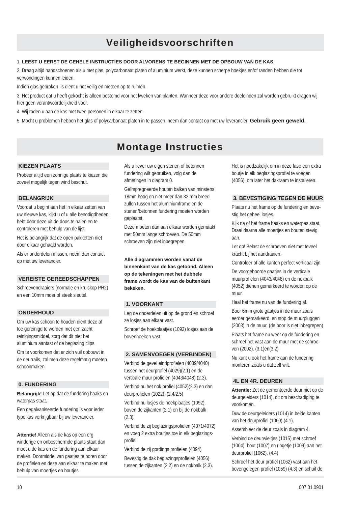## Veiligheidsvoorschriften

#### 1. **LEEST U EERST DE GEHELE INSTRUCTIES DOOR ALVORENS TE BEGINNEN MET DE OPBOUW VAN DE KAS.**

2. Draag altijd handschoenen als u met glas, polycarbonaat platen of aluminium werkt, deze kunnen scherpe hoekjes en/of randen hebben die tot verwondingen kunnen leiden.

Indien glas gebroken is dient u het veilig en meteen op te ruimen.

3. Het product dat u heeft gekocht is alleen bestemd voor het kweken van planten. Wanneer deze voor andere doeleinden zal worden gebruikt dragen wij hier geen verantwoordelijkheid voor.

4. Wij raden u aan de kas met twee personen in elkaar te zetten.

5. Mocht u problemen hebben het glas of polycarbonaat platen in te passen, neem dan contact op met uw leverancier. **Gebruik geen geweld.**

## Montage Instructies

#### **KIEZEN PLAATS**

Probeer altijd een zonnige plaats te kiezen die zoveel mogelijk tegen wind beschut.

#### **BELANGRIJK**

Voordat u begint aan het in elkaar zetten van uw nieuwe kas, kijkt u of u alle benodigdheden hebt door deze uit de doos te halen en te controleren met behulp van de lijst.

Het is belangrijk dat de open pakketten niet door elkaar gehaald worden.

Als er onderdelen missen, neem dan contact op met uw leverancier.

### **VEREISTE GEREEDSCHAPPEN**

Schroevendraaiers (normale en kruiskop PH2) en een 10mm moer of steek sleutel.

## **ONDERHOUD**

Om uw kas schoon te houden dient deze af toe gereinigd te worden met een zacht reinigingsmiddel, zorg dat dit niet het aluminium aantast of de beglazing clips.

Om te voorkomen dat er zich vuil opbouwt in de deurrails, zal men deze regelmatig moeten schoonmaken.

#### **0. FUNDERING**

**Belangrijk!** Let op dat de fundering haaks en waterpas staat.

Een gegalvaniseerde fundering is voor ieder type kas verkrijgbaar bij uw leverancier.

**Attentie!** Alleen als de kas op een erg winderige en onbeschermde plaats staat dan moet u de kas en de fundering aan elkaar maken. Doormiddel van gaatjes te boren door de profielen en deze aan elkaar te maken met behulp van moertjes en boutjes.

Als u liever uw eigen stenen of betonnen fundering wilt gebruiken, volg dan de afmetingen in diagram 0.

Geïmpregneerde houten balken van minstens 18mm hoog en niet meer dan 32 mm breed zullen tussen het aluminiumframe en de stenen/betonnen fundering moeten worden geplaatst.

Deze moeten dan aan elkaar worden gemaakt met 50mm lange schroeven. De 50mm schroeven zijn niet inbegrepen.

**Alle diagrammen worden vanaf de binnenkant van de kas getoond. Alleen op de tekeningen met het dubbele frame wordt de kas van de buitenkant bekeken.**

## **1. VOORKANT**

Leg de onderdelen uit op de grond en schroef ze losjes aan elkaar vast.

Schroef de hoekplaatjes (1092) losjes aan de bovenhoeken vast.

#### **2. SAMENVOEGEN (VERBINDEN)**

Verbind de gevel eindprofielen (4039/4040) tussen het deurprofiel (4029)(2.1) en de verticale muur profielen (4043/4048) (2.3). Verbind nu het nok profiel (4052)(2.3) en dan deurprofielen (1022). (2.4/2.5)

Verbind nu losjes de hoekplaatjes (1092), boven de zijkanten (2.1) en bij de nokbalk (2.3).

Verbind de zij beglazingsprofielen (4071/4072) en voeg 2 extra boutjes toe in elk beglazingsprofiel.

Verbind de zij gordings profielen.(4094) Bevestig de dak beglazingsprofielen (4056) tussen de zijkanten (2.2) en de nokbalk (2.3). Het is noodzakelijk om in deze fase een extra boutje in elk beglazingsprofiel te voegen (4056), om later het dakraam te installeren.

## **3. BEVESTIGING TEGEN DE MUUR**

Plaats nu het frame op de fundering en bevestig het geheel losjes.

Kijk na of het frame haaks en waterpas staat. Draai daarna alle moertjes en bouten stevig aan.

Let op! Belast de schroeven niet met teveel kracht bij het aandraaien.

Controleer of alle kanten perfect verticaal zijn.

De voorgeboorde gaatjes in de verticale muurprofielen (4043/4048) en de nokbalk (4052) dienen gemarkeerd te worden op de muur.

Haal het frame nu van de fundering af.

Boor 6mm grote gaatjes in de muur zoals eerder gemarkeerd, en stop de muurpluggen (2003) in de muur. (de boor is niet inbegrepen)

Plaats het frame nu weer op de fundering en schroef het vast aan de muur met de schroeven (2002). (3.1)en(3.2)

Nu kunt u ook het frame aan de fundering monteren zoals u dat zelf wilt.

#### **4L EN 4R. DEUREN**

**Attentie:** Zet de gemonteerde deur niet op de deurgeleiders (1014), dit om beschadiging te voorkomen.

Duw de deurgeleiders (1014) in beide kanten van het deurprofiel (1060) (4.1).

Assembleer de deur zoals in diagram 4.

Verbind de deurwielties (1015) met schroef (1004), bout (1007) en ringetje (1009) aan het deurprofiel (1062). (4.4)

Schroef het deur profiel (1062) vast aan het bovengelegen profiel (1059) (4.3) en schuif de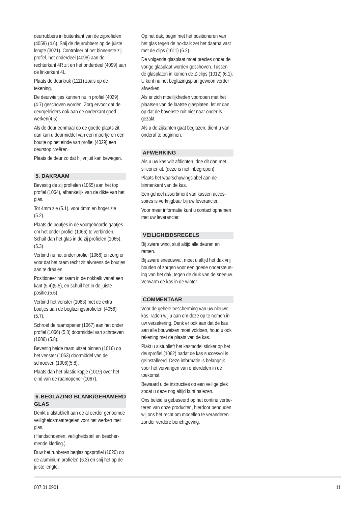deurrubbers in buitenkant van de zijprofielen (4059) (4.6). Snij de deurrubbers op de juiste lengte (3021). Controleer of het binnenste zij profiel, het onderdeel (4098) aan de rechterkant 4R zit en het onderdeel (4099) aan de linkerkant 4L.

Plaats de deurkruk (1111) zoals op de tekening.

De deurwieltjes kunnen nu in profiel (4029) (4.7) geschoven worden. Zorg ervoor dat de deurgeleiders ook aan de onderkant goed werken(4.5).

Als de deur eenmaal op de goede plaats zit, dan kan u doormiddel van een moertje en een boutje op het einde van profiel (4029) een deurstop creëren.

Plaats de deur zo dat hij vrijuit kan bewegen.

#### **5. DAKRAAM**

Bevestig de zij profielen (1065) aan het top profiel (1064), afhankelijk van de dikte van het glas.

Tot 4mm zie (5.1), voor 4mm en hoger zie (5.2).

Plaats de boutjes in de voorgeboorde gaatjes om het onder profiel (1066) te verbinden. Schuif dan het glas in de zij profielen (1065). (5.3)

Verbind nu het onder profiel (1066) en zorg er voor dat het raam recht zit alvorens de boutjes aan te draaien.

Positioneer het raam in de nokbalk vanaf een kant (5.4)(5.5), en schuif het in de juiste positie.(5.6)

Verbind het venster (1063) met de extra boutjes aan de beglazingsprofielen (4056) (5.7).

Schroef de raamopener (1067) aan het onder profiel (1066) (5.8) doormiddel van schroeven (1006) (5.8).

Bevestig beide raam uitzet pinnen (1016) op het venster (1063) doormiddel van de schroeven (1006)(5.8).

Plaats dan het plastic kapje (1019) over het eind van de raamopener (1067).

#### **6. BEGLAZING BLANK/GEHAMERD GLAS**

Denkt u alstublieft aan de al eerder genoemde veiligheidsmaatregelen voor het werken met glas.

(Handschoenen, veiligheidsbril en beschermende kleding.)

Duw het rubberen beglazingsprofiel (1020) op de aluminium profielen (6.3) en snij het op de juiste lengte.

Op het dak, begin met het positioneren van het glas tegen de nokbalk zet het daarna vast met de clips (1011) (6.2).

De volgende glasplaat moet precies onder de vorige glasplaat worden geschoven. Tussen de glasplaten in komen de Z-clips (1012) (6.1). U kunt nu het beglazingsplan gewoon verder afwerken.

Als er zich moeilijkheden voordoen met het plaatsen van de laatste glasplaten, let er dan op dat de bovenste ruit niet naar onder is gezakt.

Als u de zijkanten gaat beglazen, dient u van onderaf te beginnen.

#### **AFWERKING**

Als u uw kas wilt afdichten, doe dit dan met siliconenkit. (deze is niet inbegrepen)

Plaats het waarschuwingslabel aan de binnenkant van de kas.

Een geheel assortiment van kassen accessoires is verkrijgbaar bij uw leverancier.

Voor meer informatie kunt u contact opnemen met uw leverancier.

#### **VEILIGHEIDSREGELS**

Bij zware wind, sluit altijd alle deuren en ramen.

Bij zware sneeuwval, moet u altijd het dak vrij houden of zorgen voor een goede ondersteuning van het dak, tegen de druk van de sneeuw. Verwarm de kas in de winter.

### **COMMENTAAR**

Voor de gehele bescherming van uw nieuwe kas, raden wij u aan om deze op te nemen in uw verzekering. Denk er ook aan dat de kas aan alle bouweisen moet voldoen, houd u ook rekening met de plaats van de kas.

Plakt u alstublieft het kasmodel sticker op het deurprofiel (1062) nadat de kas succesvol is geïnstalleerd. Deze informatie is belangrijk voor het vervangen van onderdelen in de toekomst.

Bewaard u de instructies op een veilige plek zodat u deze nog altijd kunt nalezen.

Ons beleid is gebaseerd op het continu verbeteren van onze producten, hierdoor behouden wij ons het recht om modellen te veranderen zonder verdere berichtgeving.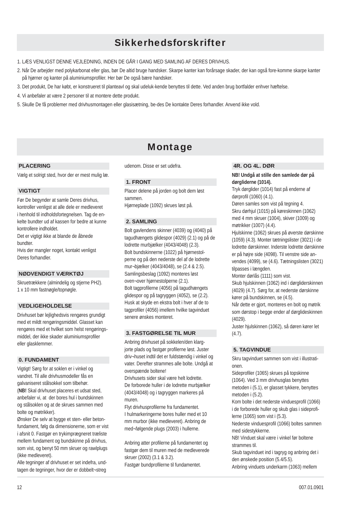## **Sikkerhedsforskrifter**

1. LÆS VENLIGST DENNE VEJLEDNING, INDEN DE GÅR I GANG MED SAMLING AF DERES DRIVHUS.

- 2. Når De arbejder med polykarbonat eller glas, bør De altid bruge handsker. Skarpe kanter kan forårsage skader, der kan også fore-komme skarpe kanter på hjørner og kanter på aluminiumsprofiler. Her bør De også bære handsker.
- 3. Det produkt, De har købt, er konstrueret til planteavl og skal udeluk-kende benyttes til dette. Ved anden brug bortfalder enhver hæftelse.
- 4. Vi anbefaler at være 2 personer til at montere dette produkt.
- 5. Skulle De få problemer med drivhusmontagen eller glasisætning, be-des De kontakte Deres forhandler. Anvend ikke vold.

## Montage

#### **PLACERING**

Vælg et solrigt sted, hvor der er mest mulig læ.

## **VIGTIGT**

Før De begynder at samle Deres drivhus, kontroller venligst at alle dele er medleveret i henhold til indholdsfortegnelsen. Tag de enkelte bundter ud af kassen for bedre at kunne kontrollere indholdet.

Det er vigtigt ikke at blande de åbnede bundter.

Hvis der mangler noget, kontakt venligst Deres forhandler.

## **NØDVENDIGT VÆRKTØJ**

Skruetrækkere (almindelig og stjerne PH2). 1 x 10 mm fastnøgle/topnøgle.

## **VEDLIGEHOLDELSE**

Drivhuset bør lejlighedsvis rengøres grundigt med et mildt rengøringsmiddel. Glasset kan rengøres med et hvilket som helst rengøringsmiddel, der ikke skader aluminiumsprofiler eller glasklemmer.

## **0. FUNDAMENT**

Vigtigt! Sørg for at soklen er i vinkel og vandret. Til alle drivhusmodeller fås en galvaniseret stålsokkel som tilbehør. (**NB!** Skal drivhuset placeres et udsat sted, anbefaler vi, at der bores hul i bundskinnen og stålsoklen og at de skrues sammen med bolte og møtrikker).

Ønsker De selv at bygge et sten- eller betonfundament, følg da dimensionerne, som er vist i afsnit 0. Fastgør en trykimprægneret træliste mellem fundament og bundskinne på drivhus, som vist, og benyt 50 mm skruer og rawlplugs (ikke medleveret).

Alle tegninger af drivhuset er set indefra, undtagen de tegninger, hvor der er dobbelt¬streg

udenom. Disse er set udefra.

### **1. FRONT**

Placer delene på jorden og bolt dem løst sammen. Hjørneplade (1092) skrues løst på.

### **2. SAMLING**

Bolt gavlendens skinner (4039) og (4040) på tagudhængets glidespor (4029) (2.1) og på de lodrette murbjælker (4043/4048) (2.3). Bolt bundskinnerne (1022) på hjørnestolperne og på den nederste del af de lodrette mur¬bjælker (4043/4048), se (2.4 & 2.5). Samlingsbeslag (1092) monteres løst oven¬over hjørnestolperne (2.1). Bolt tagprofilerne (4056) på tagudhængets glidespor og på tagryggen (4052), se (2.2). Husk at skyde en ekstra bolt i hver af de to tagprofiler (4056) imellem hvilke tagvinduet senere ønskes monteret.

## **3. FASTGØRELSE TIL MUR**

Anbring drivhuset på sokkelen/den klargjorte plads og fastgør profilerne løst. Juster driv¬huset indtil det er fuldstændig i vinkel og vater. Derefter strammes alle bolte. Undgå at overspænde boltene!

Drivhusets sider skal være helt lodrette. De forborede huller i de lodrette murbjælker (4043/4048) og i tagryggen markeres på muren.

Flyt drivhusprofilerne fra fundamentet. I hulmarkeringerne bores huller med et 10 mm murbor (ikke medleveret). Anbring de med¬følgende plugs (2003) i hullerne.

Anbring atter profilerne på fundamentet og fastgør dem til muren med de medleverede skruer (2002) (3.1 & 3.2). Fastgør bundprofilerne til fundamentet.

#### **4R. OG 4L. DØR**

**NB! Undgå at stille den samlede dør på dørgliderne (1014).** Tryk dørglider (1014) fast på enderne af dørprofil (1060) (4.1). Døren samles som vist på tegning 4. Skru dørhiul (1015) på køreskinnen (1062) med 4 mm skruer (1004), skiver (1009) og møtrikker (1007) (4.4). Hjulskinne (1062) skrues på øverste dørskinne (1059) (4.3). Monter tætningslister (3021) i de lodrette dørskinner. Inderste lodrette dørskinne er på højre side (4098). Til venstre side anvendes (4099), se (4.6). Tætningslisten (3021) tilpasses i længden. Monter dørlås (1111) som vist. Skub hjulskinnen (1062) ind i dørgliderskinnen (4029) (4.7). Sørg for, at nederste dørskinne kører på bundskinnen, se (4.5). Når dette er gjort, monteres en bolt og møtrik som dørstop i begge ender af dørglideskinnen (4029).

Juster hjulskinnen (1062), så døren kører let  $(4.7)$ .

## **5. TAGVINDUE**

Skru tagvinduet sammen som vist i illustrationen.

Sideprofiler (1065) skrues på topskinne (1064). Ved 3 mm drivhusglas benyttes metoden i (5.1), er glasset tykkere, benyttes metoden i (5.2)

Kom bolte i det nederste vinduesprofil (1066) i de forborede huller og skub glas i sideprofilerne (1065) som vist i (5.3).

Nederste vinduesprofil (1066) boltes sammen med sidestykkerne.

NB! Vinduet skal være i vinkel før boltene strammes til.

Skub tagvinduet ind i tagryg og anbring det i den ønskede position (5.4/5.5). Anbring vinduets underkarm (1063) mellem

007.01.0901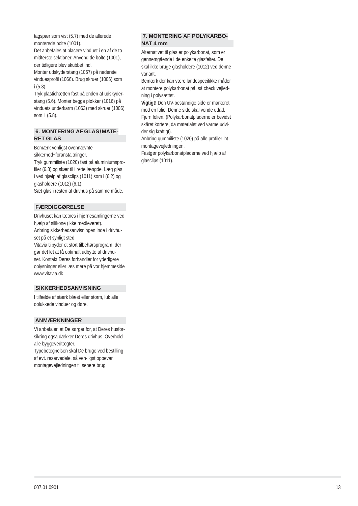tagspær som vist (5.7) med de allerede monterede bolte (1001).

Det anbefales at placere vinduet i en af de to midterste sektioner. Anvend de bolte (1001), der tidligere blev skubbet ind.

Monter udskyderstang (1067) på nederste vinduesprofil (1066). Brug skruer (1006) som i (5.8).

Tryk plastichætten fast på enden af udskyderstang (5.6). Monter begge pløkker (1016) på vinduets underkarm (1063) med skruer (1006) som i (5.8).

## **6. MONTERING AF GLAS/MATE-RET GLAS**

Bemærk venligst ovennævnte

sikkerhed¬foranstaltninger.

Tryk gummiliste (1020) fast på aluminiumsprofiler (6.3) og skær til i rette længde. Læg glas i ved hjælp af glasclips (1011) som i (6.2) og glasholdere (1012) (6.1).

Sæt glas i resten af drivhus på samme måde.

## **FÆRDIGGØRELSE**

Drivhuset kan tætnes i hjørnesamlingerne ved hjælp af silikone (ikke medleveret). Anbring sikkerhedsanvisningen inde i drivhu-

set på et synligt sted. Vitavia tilbyder et stort tilbehørsprogram, der gør det let at få optimalt udbytte af drivhuset. Kontakt Deres forhandler for yderligere oplysninger eller læs mere på vor hjemmeside www.vitavia.dk

#### **SIKKERHEDSANVISNING**

I tilfælde af stærk blæst eller storm, luk alle oplukkede vinduer og døre.

### **ANMÆRKNINGER**

Vi anbefaler, at De sørger for, at Deres husforsikring også dækker Deres drivhus. Overhold alle byggevedtægter.

Typebetegnelsen skal De bruge ved bestilling af evt. reservedele, så ven-ligst opbevar montagevejledningen til senere brug.

## **7. MONTERING AF POLYKARBO-NAT 4 mm**

Alternativet til glas er polykarbonat, som er gennemgående i de enkelte glasfelter. De skal ikke bruge glasholdere (1012) ved denne variant.

Bemærk der kan være landespecifikke måder at montere polykarbonat på, så check vejledning i polysættet.

**Vigtigt!** Den UV-bestandige side er markeret med en folie. Denne side skal vende udad. Fjern folien. (Polykarbonatpladerne er bevidst skåret kortere, da materialet ved varme udvider sig kraftigt).

Anbring gummiliste (1020) på alle profiler iht. montagevejledningen.

Fastgør polykarbonatpladerne ved hjælp af glasclips (1011).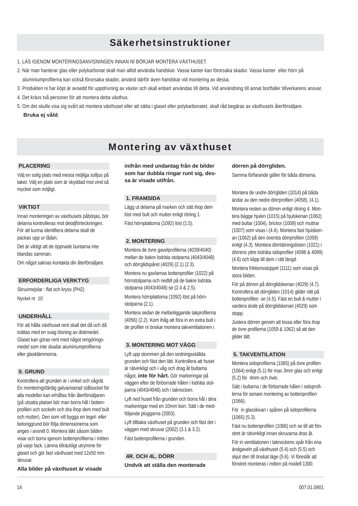## Säkerhetsinstruktioner

- 1. LÄS IGENOM MONTERINGSANVISNINGEN INNAN NI BÖRJAR MONTERA VÄXTHUSET.
- 2. När man hanterar glas eller polykarbonat skall man alltid använda handskar. Vassa kanter kan förorsaka skador. Vassa kanter eller hörn på aluminiumprofilerna kan också förorsaka skador, använd därför även handskar vid montering av dessa.
- 3. Produkten ni har köpt är avsedd för uppdrivning av växter och skall enbart användas till detta. Vid användning till annat bortfaller tillverkarens ansvar.
- 4. Det krävs två personer för att montera detta växthus.
- 5. Om det skulle visa sig svårt att montera växthuset eller att sätta i glaset eller polykarbonatet, skall råd begäras av växthusets återförsäljare.  **Bruka ej våld**.

## Montering av växthuset

#### **PLACERING**

Välj en solig plats med mesta möjliga solljus på taket. Välj en plats som är skyddad mot vind så mycket som möjligt.

### **VIKTIGT**

Innan monteringen av växthusets påbörjas, bör delarna kontrolleras mot detaljförteckningen. För att kunna identifiera delarna skall de packas upp ur lådan.

Det är viktigt att de öppnade buntarna inte blandas samman.

Om något saknas kontakta din återförsäljare.

## **ERFORDERLIGA VERKTYG**

Skruvmejslar : flat och kryss (PH2) Nyckel nr 10

## **UNDERHÅLL**

För att hålla växthuset rent skall det då och då tvättas med en svag lösning av diskmedel. Glaset kan göras rent med något rengöringsmedel som inte skadar aluminiumprofilerna eller glasklämmorna.

### **0. GRUND**

Kontrollera att grunden är i vinkel och vågrät. En monteringsfärdig galvaniserad stålsockel för alla modeller kan erhållas från återförsäljaren (på utsatta platser bör man borra hål i bottenprofilen och sockeln och dra ihop dem med bult och mutter). Den som vill bygga en tegel- eller betonggrund bör följa dimensionerna som anges i avsnitt 0. Montera läkt såsom bilden visar och borra jgenom bottenprofilerna i mitten på varje fack. Lämna tillräckligt utrymme för glaset och gör fast växthuset med 12x50 mm skruvar.

**Alla bilder på växthuset är visade** 

**inifrån med undantag från de bilder som har dubbla ringar runt sig, dessa är visade utifrån.**

### **1. FRAMSIDA**

Lägg ut delarna på marken och sätt ihop dem löst med bult och mutter enligt ritning 1. Fäst hörnplattorna (1092) löst (1.5).

## **2. MONTERING**

Montera de övre gavelprofilerna (4039/4040) mellan de bakre lodräta stolparna (4043/4048) och dörrglidspåret (4029) (2.1) (2.3).

Montera nu gavlarnas bottenprofiler (1022) på hörnstolparna och nedtill på de bakre lodräta stolparna (4043/4048) se (2.4 & 2.5).

Montera hörnplattorna (1092) löst på hörnstolparna (2.1).

Montera sedan de mellanliggande takprofilerna (4056) (2.2). Kom ihåg att föra in en extra bult i de profiler ni önskar montera takventilationen i.

## **3. MONTERING MOT VÄGG**

Lyft upp stommen på den iordningsställda grunden och fäst den lätt. Kontrollera att huset är rätvinkligt och i våg och drag åt bultarna något, **inte för hårt.** Gör markeringar på väggen efter de förborrade hålen i lodräta stolparna (4043/4048) och i taknocken.

Lyft ned huset från grunden och borra hål i dina markeringar med en 10mm borr. Sätt i de medföljande pluggarna (2003).

Lyft tillbaka växthuset på grunden och fäst det i väggen med skruvar (2002) (3.1 & 3.2). Fäst bottenprofilerna i grunden.

#### **4R. OCH 4L. DÖRR**

**Undvik att ställa den monterade** 

#### **dörren på dörrgliden.**

Samma förfarande gäller för båda dörrarna.

Montera de undre dörrgliden (1014) på båda ändar av den nedre dörrprofilen (4058), (4.1).

Montera resten av dörren enligt ritning 4. Montera bägge hjulen (1015) på hjulskenan (1062) med bultar (1004), brickor (1009) och muttrar (1007) som visas i (4.4). Montera fast hjulskenan (1062) på den översta dörrprofilen (1059) enligt (4.3). Montera dörrtätningslisten (1021) i dörrens yttre lodräta sidoprofiler (4098 & 4099) (4.6) och klipp till dem i rätt längd.

Montera friktionsstoppet (1111) som visas på stora bilden.

För på dörren på dörrglidskenan (4029) (4.7). Kontrollera att dörrgliden (1014) glider rätt på bottenprofilen se (4.5). Fäst en bult & mutter i vardera ände på dörrglidskenan (4029) som stopp.

Justera dörren genom att lossa eller föra ihop de övre profilerna (1059 & 1062) så att den glider lätt.

#### **5. TAKVENTILATION**

Montera sidoprofilerna (1065) på övre profilen (1064) enligt (5.1) för max 3mm glas och enligt (5.2) för 4mm och över.

Sätt i bultarna i de förborrade hålen i sidoprofilerna för senare montering av bottenprofilen (1066).

För in glasskivan i spåren på sidoprofilerna (1065) (5.3).

Fäst nu bottenprofilen (1066) och se till att fönstret är rätvinkligt innan skruvarna dras åt.

För in ventilationen i taknockens spår från ena ändgaveln på växthuset (5.4) och (5.5) och skjut den till önskat läge (5.6). Vi föreslår att fönstret monteras i mitten på modell 1300.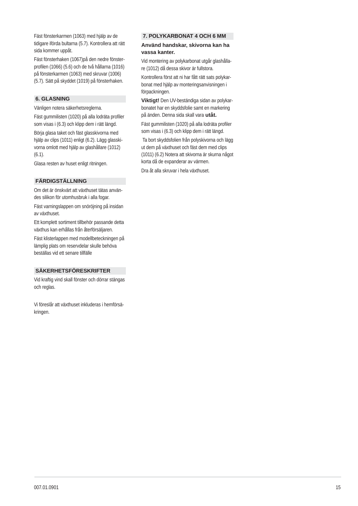Fäst fönsterkarmen (1063) med hjälp av de tidigare iförda bultarna (5.7). Kontrollera att rätt sida kommer uppåt.

Fäst fönsterhaken (1067)på den nedre fönsterprofilen (1066) (5.6) och de två hållarna (1016) på fönsterkarmen (1063) med skruvar (1006) (5.7). Sätt på skyddet (1019) på fönsterhaken.

## **6. GLASNING**

Vänligen notera säkerhetsreglerna.

Fäst gummilisten (1020) på alla lodräta profiler som visas i (6.3) och klipp dem i rätt längd.

Börja glasa taket och fäst glasskivorna med hjälp av clips (1011) enligt (6.2). Lägg glasskivorna omlott med hjälp av glashållare (1012) (6.1).

Glasa resten av huset enligt ritningen.

## **FÄRDIGSTÄLLNING**

Om det är önskvärt att växthuset tätas användes silikon för utomhusbruk i alla fogar.

Fäst varningslappen om snöröjning på insidan av växthuset.

Ett komplett sortiment tillbehör passande detta växthus kan erhållas från återförsäljaren.

Fäst klisterlappen med modellbeteckningen på lämplig plats om reservdelar skulle behöva beställas vid ett senare tillfälle

## **SÄKERHETSFÖRESKRIFTER**

Vid kraftig vind skall fönster och dörrar stängas och reglas.

Vi föreslår att växthuset inkluderas i hemförsäkringen.

## **7. POLYKARBONAT 4 OCH 6 MM**

**Använd handskar, skivorna kan ha vassa kanter.**

Vid montering av polykarbonat utgår glashållare (1012) då dessa skivor är fullstora.

Kontrollera först att ni har fått rätt sats polykarbonat med hjälp av monteringsanvisningen i förpackningen.

**Viktigt!** Den UV-beständiga sidan av polykarbonatet har en skyddsfolie samt en markering på änden. Denna sida skall vara **utåt.** 

Fäst gummilisten (1020) på alla lodräta profiler som visas i (6.3) och klipp dem i rätt längd.

 Ta bort skyddsfolien från polyskivorna och lägg ut dem på växthuset och fäst dem med clips (1011) (6.2) Notera att skivorna är skurna något korta då de expanderar av värmen.

Dra åt alla skruvar i hela växthuset.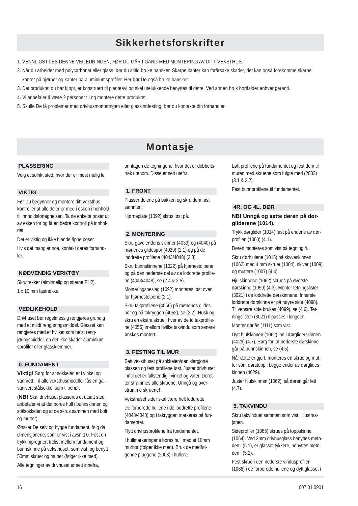## **Sikkerhetsforskrifter**

- 1. VENNLIGST LES DENNE VEILEDNINGEN, FØR DU GÅR I GANG MED MONTERING AV DITT VEKSTHUS.
- 2. Når du arbeider med polycarbonat eller glass, bør du alltid bruke hansker. Skarpe kanter kan forårsake skader, det kan også forekomme skarpe kanter på hjørner og kanter på aluminiumsprofiler. Her bør De også bruke hansker.
- 3. Det produktet du har kjøpt, er konstruert til planteavl og skal utelukkende benyttes til dette. Ved annen bruk bortfalder enhver garanti.
- 4. Vi anbefaler å være 2 personer til og montere dette produktet.
- 5. Skulle De få problemer med drivhusmonteringen eller glassinnfesting, bør du kontakte din forhandler.

## Montasje

### **PLASSERING**

Velg et solrikt sted, hvor der er mest mulig le.

## **VIKTIG**

Før Du begynner og montere ditt veksthus, kontroller at alle deler er med i esken i henhold til innholdsfortegnelsen. Ta de enkelte poser ut av esken for og få en bedre kontroll på innholdet.

Det er viktig og ikke blande åpne poser. Hvis det mangler noe, kontakt deres forhand- $\ln$ 

## **NØDVENDIG VERKTØY**

Skrutrekker (alminnelig og stjerne PH2). 1 x 10 mm fastnøkkel.

## **VEDLIKEHOLD**

Drivhuset bør regelmessig rengjøres grundig med et mildt rengjøringsmiddel. Glasset kan rengjøres med et hvilket som helst rengjøringsmiddel, da det ikke skader aluminiumsprofiler eller glassklemmer.

## **0. FUNDAMENT**

**Viktig!** Sørg for at sokkelen er i vinkel og vannrett. Til alle veksthusmodeller fås en galvanisert stålsokkel som tilbehør.

(**NB!** Skal drivhuset plasseres et utsatt sted, anbefaler vi at det bores hull i bunnskinnen og stålsokkelen og at de skrus sammen med bolt og mutter).

Ønsker De selv og bygge fundament, følg da dimensjonene, som er vist i avsnitt 0. Fest en trykkimpregnert trelist mellom fundament og bunnskinne på veksthuset, som vist, og benytt 50mm skruer og mutter (følger ikke med).

Alle tegninger av drivhuset er sett innefra,

unntagen de tegningene, hvor det er dobbeltstrek utenom. Disse er sett utefra.

## **1. FRONT**

Plasser delene på bakken og skru dem løst sammen.

Hjørneplate (1092) skrus løst på.

## **2. MONTERING**

Skru gavelendens skinner (4039) og (4040) på mønenes glidespor (4029) (2.1) og på de loddrette profilene (4043/4048) (2.3).

Skru bunnskinnene (1022) på hjørnestolpene og på den nederste del av de loddrette profilene (4043/4048), se (2.4 & 2.5).

Monteringsbeslag (1092) monteres løst oven for hjørnestolpene (2.1).

Skru takprofilene (4056) på mønenes glidespor og på takryggen (4052), se (2.2). Husk og skru en ekstra skrue i hver av de to takprofilene (4056) imellom hvilke takvindu som senere ønskes montert.

## **3. FESTING TIL MUR**

Sett veksthuset på sokkelen/den klargjorte plassen og fest profilene løst. Juster drivhuset inntil det er fullstendig i vinkel og vater. Deretter strammes alle skruene. Unngå og overstramme skruene!

Veksthuset sider skal være helt loddrette. De forborede hullene i de loddrette profilene (4043/4048) og i takryggen markeres på fundamentet.

Flytt drivhusprofilene fra fundamentet.

I hullmarkeringene bores hull med et 10mm murbor (følger ikke med). Bruk de medfølgende pluggene (2003) i hullene.

Løft profilene på fundamentet og fest dem til muren med skruene som fulgte med (2002) (3.1 & 3.2). Fest bunnprofilene til fundamentet.

## **4R. OG 4L. DØR**

## **NB! Unngå og sette døren på dørgliderene (1014).**

Trykk dørglider (1014) fast på endene av dørprofilen (1060) (4.1).

Døren monteres som vist på tegning 4.

Skru dørhjulene (1015) på skyveskinnen (1062) med 4 mm skruer (1004), skiver (1009) og muttere (1007) (4.4).

Hjulskinnene (1062) skrues på øverste dørskinne (1059) (4.3). Monter tetningslister (3021) i de loddrette dørskinnene. Innerste loddrette dørskinne er på høyre side (4098). Til venstre side brukes (4099), se (4.6). Tetningslisten (3021) tilpasses i lengden.

Monter dørlås (1111) som vist.

Dytt hjulskinnen (1062) inn i dørgliderskinnen (4029) (4.7). Sørg for, at nederste dørskinne går på bunnskinnen, se (4.5).

Når dette er gjort, monteres en skrue og mutter som dørstopp i begge ender av dørglideskinnen (4029).

Juster hjulskinnen (1062), så døren går lett  $(4.7)$ .

## **5. TAKVINDU**

Skru takvinduet sammen som vist i illustrasjonen.

Sideprofiler (1065) skrues på toppskinne (1064). Ved 3mm drivhusglass benyttes metoden i (5.1), er glasset tykkere, benyttes metoden i (5.2).

Fest skrue i den nederste vindusprofilen (1066) i de forborede hullene og dytt glasset i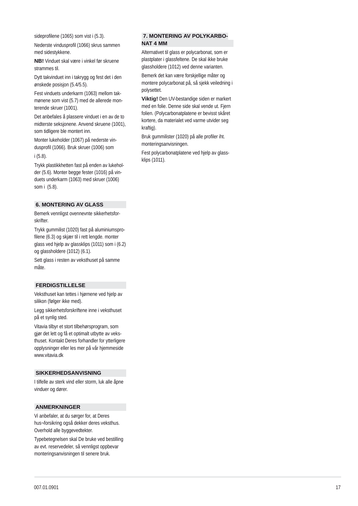sideprofilene (1065) som vist i (5.3).

Nederste vindusprofil (1066) skrus sammen med sidestykkene.

**NB!** Vinduet skal være i vinkel før skruene strammes til.

Dytt takvinduet inn i takrygg og fest det i den ønskede posisjon (5.4/5.5).

Fest vinduets underkarm (1063) mellom takmønene som vist (5.7) med de allerede monterende skruer (1001).

Det anbefales å plassere vinduet i en av de to midterste seksjonene. Anvend skruene (1001), som tidligere ble montert inn.

Monter lukeholder (1067) på nederste vindusprofil (1066). Bruk skruer (1006) som i (5.8).

Trykk plastikkhetten fast på enden av lukeholder (5.6). Monter begge fester (1016) på vinduets underkarm (1063) med skruer (1006) som i (5.8).

#### **6. MONTERING AV GLASS**

Bemerk vennligst ovennevnte sikkerhetsforskrifter.

Trykk gummilist (1020) fast på aluminiumspro filene (6.3) og skjær til i rett lengde. monter glass ved hjelp av glassklips (1011) som i (6.2) og glassholdere (1012) (6.1).

Sett glass i resten av veksthuset på samme måte.

#### **FERDIGSTILLELSE**

Veksthuset kan tettes i hjørnene ved hjelp av silikon (følger ikke med).

Legg sikkerhetsforskriftene inne i veksthuset på et synlig sted.

Vitavia tilbyr et stort tilbehørsprogram, som gjør det lett og få et optimalt utbytte av veksthuset. Kontakt Deres forhandler for ytterligere opplysninger eller les mer på vår hjemmeside www.vitavia.dk

#### **SIKKERHEDSANVISNING**

I tilfelle av sterk vind eller storm, luk alle åpne vinduer og dører.

#### **ANMERKNINGER**

Vi anbefaler, at du sørger for, at Deres hus¬forsikring også dekker deres veksthus. Overhold alle byggevedtekter.

Typebetegnelsen skal De bruke ved bestilling av evt. reservedeler, så vennligst oppbevar monteringsanvisningen til senere bruk.

## **7. MONTERING AV POLYKARBO-NAT 4 MM**

Alternativet til glass er polycarbonat, som er plastplater i glassfeltene. De skal ikke bruke glassholdere (1012) ved denne varianten.

Bemerk det kan være forskjellige måter og montere polycarbonat på, så sjekk veiledning i polysettet.

**Viktig!** Den UV-bestandige siden er markert med en folie. Denne side skal vende ut. Fjern folien. (Polycarbonatplatene er bevisst skåret kortere, da materialet ved varme utvider seg kraftig).

Bruk gummilister (1020) på alle profiler iht. monteringsanvisningen.

Fest polycarbonatplatene ved hjelp av glassklips (1011).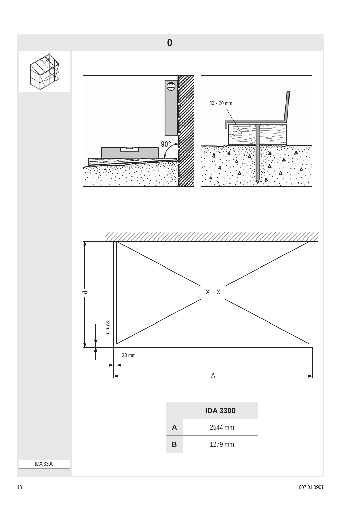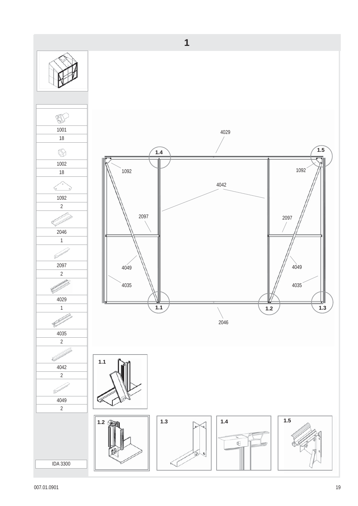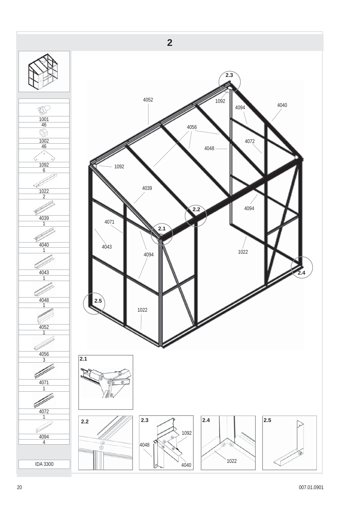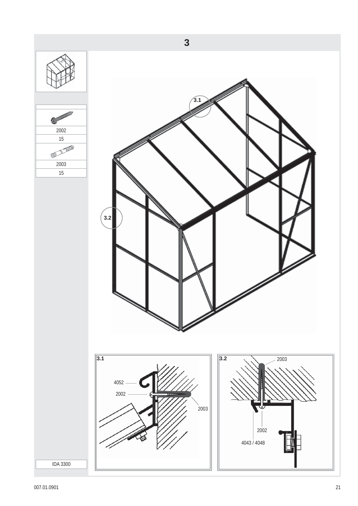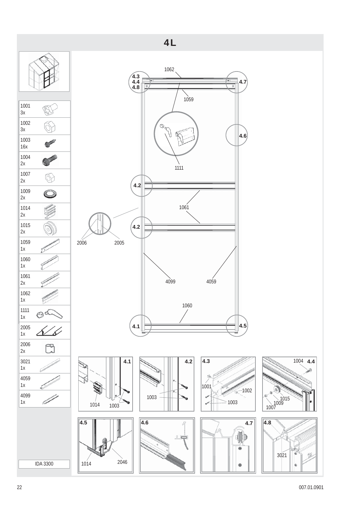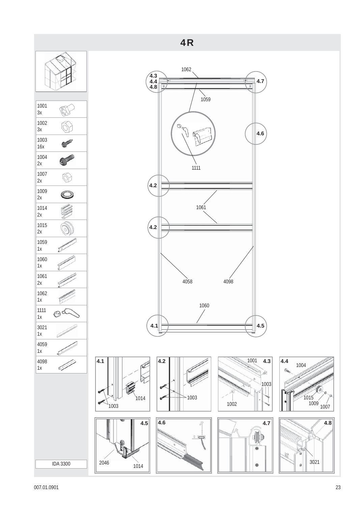

оот 23 ден на 1990 година од 23 ден на 1990 година од 23 ден на 1991 година од 23 ден на 1990 година од 23 ден<br>От 2007 година од 23 ден на 1990 година од 23 ден на 1990 година од 23 ден на 1990 година од 23 ден на 1990 го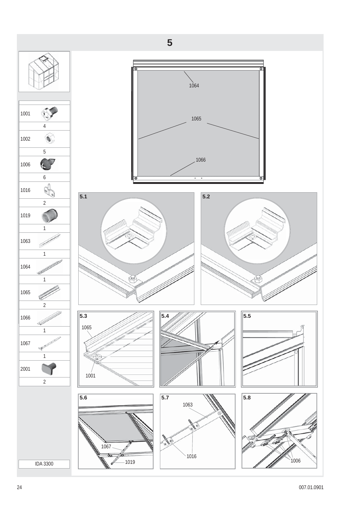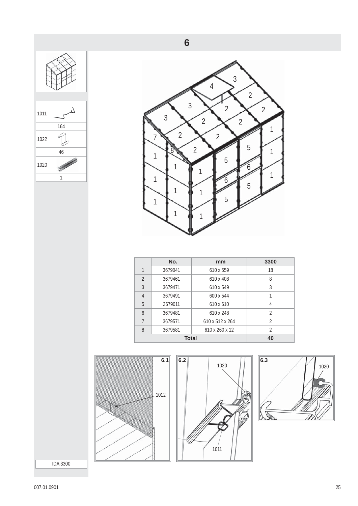





| No.     | mm               | 3300           |  |  |
|---------|------------------|----------------|--|--|
| 3679041 | 610 x 559        | 18             |  |  |
| 3679461 | 610 x 408        | 8              |  |  |
| 3679471 | 610 x 549        | 3              |  |  |
| 3679491 | 600 x 544        |                |  |  |
| 3679011 | $610 \times 610$ | 4              |  |  |
| 3679481 | 610 x 248        | 2              |  |  |
| 3679571 | 610 x 512 x 264  | 2              |  |  |
| 3679581 | 610 x 260 x 12   | $\mathfrak{D}$ |  |  |
|         | 40               |                |  |  |
|         |                  | <b>Total</b>   |  |  |





IDA 3300